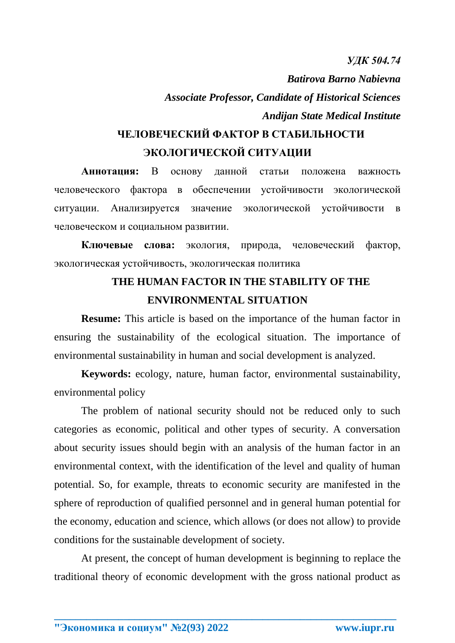*УДК 504.74*

*Batirova Barno Nabievna Associate Professor, Candidate of Historical Sciences Andijan State Medical Institute*

## **ЧЕЛОВЕЧЕСКИЙ ФАКТОР В СТАБИЛЬНОСТИ ЭКОЛОГИЧЕСКОЙ СИТУАЦИИ**

**Аннотация:** В основу данной статьи положена важность человеческого фактора в обеспечении устойчивости экологической ситуации. Анализируется значение экологической устойчивости в человеческом и социальном развитии.

**Ключевые слова:** экология, природа, человеческий фактор, экологическая устойчивость, экологическая политика

## **THE HUMAN FACTOR IN THE STABILITY OF THE ENVIRONMENTAL SITUATION**

**Resume:** This article is based on the importance of the human factor in ensuring the sustainability of the ecological situation. The importance of environmental sustainability in human and social development is analyzed.

**Keywords:** ecology, nature, human factor, environmental sustainability, environmental policy

The problem of national security should not be reduced only to such categories as economic, political and other types of security. A conversation about security issues should begin with an analysis of the human factor in an environmental context, with the identification of the level and quality of human potential. So, for example, threats to economic security are manifested in the sphere of reproduction of qualified personnel and in general human potential for the economy, education and science, which allows (or does not allow) to provide conditions for the sustainable development of society.

At present, the concept of human development is beginning to replace the traditional theory of economic development with the gross national product as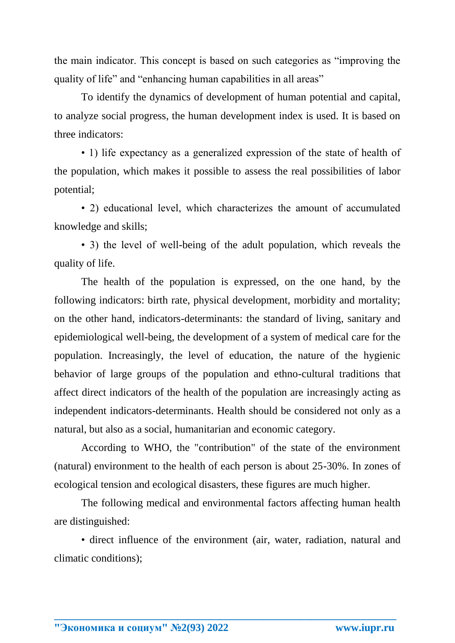the main indicator. This concept is based on such categories as "improving the quality of life" and "enhancing human capabilities in all areas"

To identify the dynamics of development of human potential and capital, to analyze social progress, the human development index is used. It is based on three indicators:

• 1) life expectancy as a generalized expression of the state of health of the population, which makes it possible to assess the real possibilities of labor potential;

• 2) educational level, which characterizes the amount of accumulated knowledge and skills;

• 3) the level of well-being of the adult population, which reveals the quality of life.

The health of the population is expressed, on the one hand, by the following indicators: birth rate, physical development, morbidity and mortality; on the other hand, indicators-determinants: the standard of living, sanitary and epidemiological well-being, the development of a system of medical care for the population. Increasingly, the level of education, the nature of the hygienic behavior of large groups of the population and ethno-cultural traditions that affect direct indicators of the health of the population are increasingly acting as independent indicators-determinants. Health should be considered not only as a natural, but also as a social, humanitarian and economic category.

According to WHO, the "contribution" of the state of the environment (natural) environment to the health of each person is about 25-30%. In zones of ecological tension and ecological disasters, these figures are much higher.

The following medical and environmental factors affecting human health are distinguished:

• direct influence of the environment (air, water, radiation, natural and climatic conditions);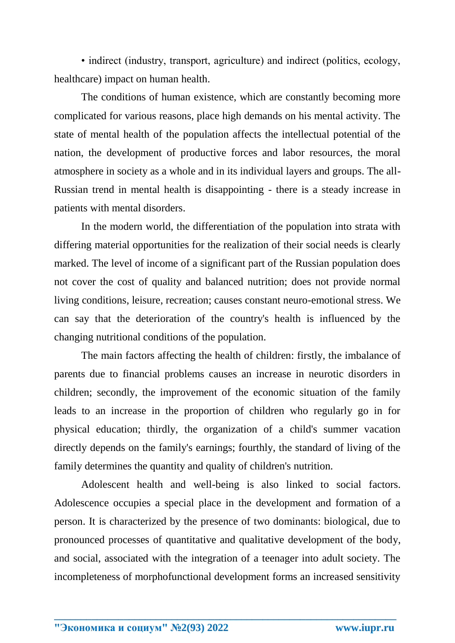• indirect (industry, transport, agriculture) and indirect (politics, ecology, healthcare) impact on human health.

The conditions of human existence, which are constantly becoming more complicated for various reasons, place high demands on his mental activity. The state of mental health of the population affects the intellectual potential of the nation, the development of productive forces and labor resources, the moral atmosphere in society as a whole and in its individual layers and groups. The all-Russian trend in mental health is disappointing - there is a steady increase in patients with mental disorders.

In the modern world, the differentiation of the population into strata with differing material opportunities for the realization of their social needs is clearly marked. The level of income of a significant part of the Russian population does not cover the cost of quality and balanced nutrition; does not provide normal living conditions, leisure, recreation; causes constant neuro-emotional stress. We can say that the deterioration of the country's health is influenced by the changing nutritional conditions of the population.

The main factors affecting the health of children: firstly, the imbalance of parents due to financial problems causes an increase in neurotic disorders in children; secondly, the improvement of the economic situation of the family leads to an increase in the proportion of children who regularly go in for physical education; thirdly, the organization of a child's summer vacation directly depends on the family's earnings; fourthly, the standard of living of the family determines the quantity and quality of children's nutrition.

Adolescent health and well-being is also linked to social factors. Adolescence occupies a special place in the development and formation of a person. It is characterized by the presence of two dominants: biological, due to pronounced processes of quantitative and qualitative development of the body, and social, associated with the integration of a teenager into adult society. The incompleteness of morphofunctional development forms an increased sensitivity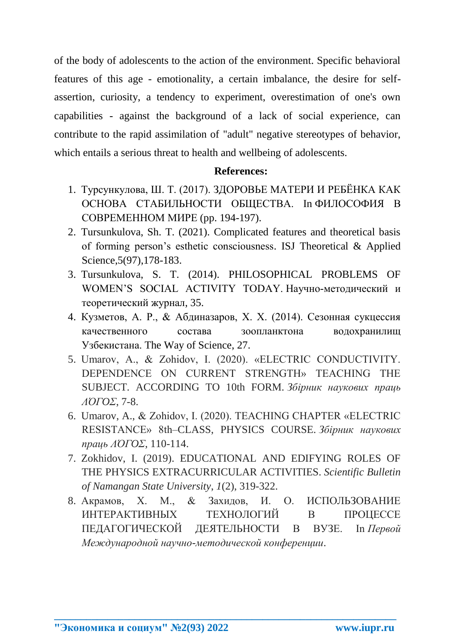of the body of adolescents to the action of the environment. Specific behavioral features of this age - emotionality, a certain imbalance, the desire for selfassertion, curiosity, a tendency to experiment, overestimation of one's own capabilities - against the background of a lack of social experience, can contribute to the rapid assimilation of "adult" negative stereotypes of behavior, which entails a serious threat to health and wellbeing of adolescents.

## **References:**

- 1. Турсункулова, Ш. Т. (2017). ЗДОРОВЬЕ МАТЕРИ И РЕБЁНКА КАК ОСНОВА СТАБИЛЬНОСТИ ОБЩЕСТВА. In ФИЛОСОФИЯ В СОВРЕМЕННОМ МИРЕ (pp. 194-197).
- 2. Tursunkulova, Sh. T. (2021). Complicated features and theoretical basis of forming person's esthetic consciousness. ISJ Theoretical & Applied Science,5(97),178-183.
- 3. Tursunkulova, S. T. (2014). PHILOSOPHICAL PROBLEMS OF WOMEN'S SOCIAL ACTIVITY TODAY. Научно-методический и теоретический журнал, 35.
- 4. Кузметов, А. Р., & Абдиназаров, Х. Х. (2014). Сезонная сукцессия качественного состава зоопланктона водохранилищ Узбекистана. The Way of Science, 27.
- 5. Umarov, A., & Zohidov, I. (2020). «ELECTRIC CONDUCTIVITY. DEPENDENCE ON CURRENT STRENGTH» TEACHING THE SUBJECT. ACCORDING TO 10th FORM. *Збірник наукових праць ΛΌГOΣ*, 7-8.
- 6. Umarov, A., & Zohidov, I. (2020). TEACHING CHAPTER «ELECTRIC RESISTANCE» 8th–CLASS, PHYSICS COURSE. *Збірник наукових праць ΛΌГOΣ*, 110-114.
- 7. Zokhidov, I. (2019). EDUCATIONAL AND EDIFYING ROLES OF THE PHYSICS EXTRACURRICULAR ACTIVITIES. *Scientific Bulletin of Namangan State University*, *1*(2), 319-322.
- 8. Акрамов, Х. М., & Захидов, И. О. ИСПОЛЬЗОВАНИЕ ИНТЕРАКТИВНЫХ ТЕХНОЛОГИЙ В ПРОЦЕССЕ ПЕДАГОГИЧЕСКОЙ ДЕЯТЕЛЬНОСТИ В ВУЗЕ. In *Первой Международной научно-методической конференции*.